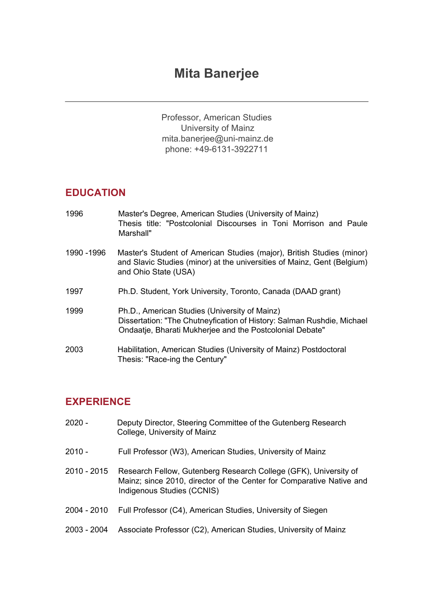# **Mita Banerjee**

Professor, American Studies University of Mainz mita.banerjee@uni-mainz.de phone: +49-6131-3922711

# **EDUCATION**

| 1996        | Master's Degree, American Studies (University of Mainz)<br>Thesis title: "Postcolonial Discourses in Toni Morrison and Paule<br>Marshall"                                           |
|-------------|-------------------------------------------------------------------------------------------------------------------------------------------------------------------------------------|
| 1990 - 1996 | Master's Student of American Studies (major), British Studies (minor)<br>and Slavic Studies (minor) at the universities of Mainz, Gent (Belgium)<br>and Ohio State (USA)            |
| 1997        | Ph.D. Student, York University, Toronto, Canada (DAAD grant)                                                                                                                        |
| 1999        | Ph.D., American Studies (University of Mainz)<br>Dissertation: "The Chutneyfication of History: Salman Rushdie, Michael<br>Ondaatje, Bharati Mukherjee and the Postcolonial Debate" |
| 2003        | Habilitation, American Studies (University of Mainz) Postdoctoral<br>Thesis: "Race-ing the Century"                                                                                 |

## **EXPERIENCE**

| $2020 -$    | Deputy Director, Steering Committee of the Gutenberg Research<br>College, University of Mainz                                                                          |
|-------------|------------------------------------------------------------------------------------------------------------------------------------------------------------------------|
| $2010 -$    | Full Professor (W3), American Studies, University of Mainz                                                                                                             |
| 2010 - 2015 | Research Fellow, Gutenberg Research College (GFK), University of<br>Mainz; since 2010, director of the Center for Comparative Native and<br>Indigenous Studies (CCNIS) |
| 2004 - 2010 | Full Professor (C4), American Studies, University of Siegen                                                                                                            |
| 2003 - 2004 | Associate Professor (C2), American Studies, University of Mainz                                                                                                        |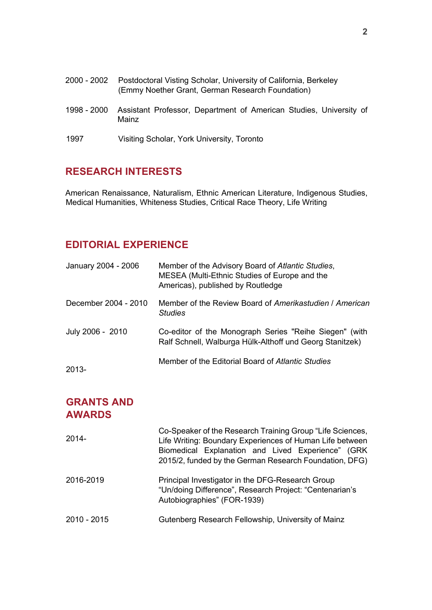| 2000 - 2002 | Postdoctoral Visting Scholar, University of California, Berkeley<br>(Emmy Noether Grant, German Research Foundation) |  |
|-------------|----------------------------------------------------------------------------------------------------------------------|--|
| 1998 - 2000 | Assistant Professor, Department of American Studies, University of<br>Mainz                                          |  |
| 1997        | Visiting Scholar, York University, Toronto                                                                           |  |

### **RESEARCH INTERESTS**

American Renaissance, Naturalism, Ethnic American Literature, Indigenous Studies, Medical Humanities, Whiteness Studies, Critical Race Theory, Life Writing

# **EDITORIAL EXPERIENCE**

| January 2004 - 2006  | Member of the Advisory Board of Atlantic Studies,<br>MESEA (Multi-Ethnic Studies of Europe and the<br>Americas), published by Routledge |
|----------------------|-----------------------------------------------------------------------------------------------------------------------------------------|
| December 2004 - 2010 | Member of the Review Board of Amerikastudien / American<br><b>Studies</b>                                                               |
| July 2006 - 2010     | Co-editor of the Monograph Series "Reihe Siegen" (with<br>Ralf Schnell, Walburga Hülk-Althoff und Georg Stanitzek)                      |
| $2013-$              | Member of the Editorial Board of Atlantic Studies                                                                                       |

### **GRANTS AND AWARDS**

| $2014 -$    | Co-Speaker of the Research Training Group "Life Sciences,<br>Life Writing: Boundary Experiences of Human Life between<br>Biomedical Explanation and Lived Experience" (GRK<br>2015/2, funded by the German Research Foundation, DFG) |
|-------------|--------------------------------------------------------------------------------------------------------------------------------------------------------------------------------------------------------------------------------------|
| 2016-2019   | Principal Investigator in the DFG-Research Group<br>"Un/doing Difference", Research Project: "Centenarian's<br>Autobiographies" (FOR-1939)                                                                                           |
| 2010 - 2015 | Gutenberg Research Fellowship, University of Mainz                                                                                                                                                                                   |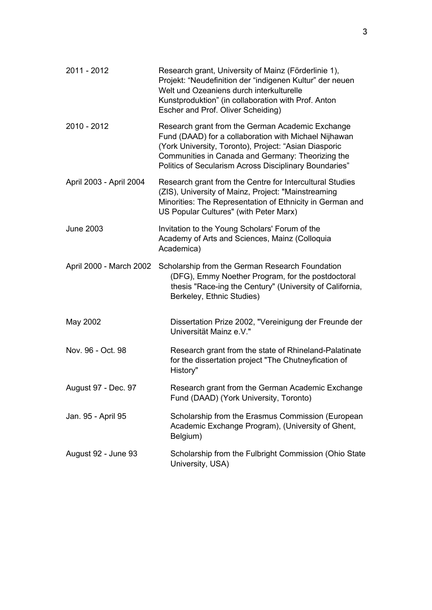| 2011 - 2012             | Research grant, University of Mainz (Förderlinie 1),<br>Projekt: "Neudefinition der "indigenen Kultur" der neuen<br>Welt und Ozeaniens durch interkulturelle<br>Kunstproduktion" (in collaboration with Prof. Anton<br>Escher and Prof. Oliver Scheiding)                         |
|-------------------------|-----------------------------------------------------------------------------------------------------------------------------------------------------------------------------------------------------------------------------------------------------------------------------------|
| 2010 - 2012             | Research grant from the German Academic Exchange<br>Fund (DAAD) for a collaboration with Michael Nijhawan<br>(York University, Toronto), Project: "Asian Diasporic<br>Communities in Canada and Germany: Theorizing the<br>Politics of Secularism Across Disciplinary Boundaries" |
| April 2003 - April 2004 | Research grant from the Centre for Intercultural Studies<br>(ZIS), University of Mainz, Project: "Mainstreaming<br>Minorities: The Representation of Ethnicity in German and<br>US Popular Cultures" (with Peter Marx)                                                            |
| <b>June 2003</b>        | Invitation to the Young Scholars' Forum of the<br>Academy of Arts and Sciences, Mainz (Colloquia<br>Academica)                                                                                                                                                                    |
| April 2000 - March 2002 | Scholarship from the German Research Foundation<br>(DFG), Emmy Noether Program, for the postdoctoral<br>thesis "Race-ing the Century" (University of California,<br>Berkeley, Ethnic Studies)                                                                                     |
| May 2002                | Dissertation Prize 2002, "Vereinigung der Freunde der<br>Universität Mainz e.V."                                                                                                                                                                                                  |
| Nov. 96 - Oct. 98       | Research grant from the state of Rhineland-Palatinate<br>for the dissertation project "The Chutneyfication of<br>History"                                                                                                                                                         |
| August 97 - Dec. 97     | Research grant from the German Academic Exchange<br>Fund (DAAD) (York University, Toronto)                                                                                                                                                                                        |
| Jan. 95 - April 95      | Scholarship from the Erasmus Commission (European<br>Academic Exchange Program), (University of Ghent,<br>Belgium)                                                                                                                                                                |
| August 92 - June 93     | Scholarship from the Fulbright Commission (Ohio State<br>University, USA)                                                                                                                                                                                                         |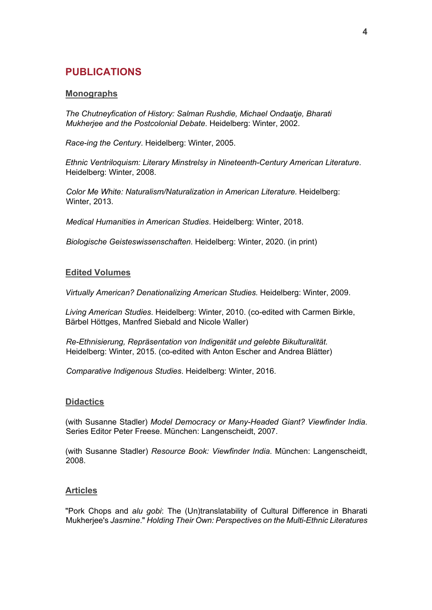### **PUBLICATIONS**

### **Monographs**

*The Chutneyfication of History: Salman Rushdie, Michael Ondaatje, Bharati Mukherjee and the Postcolonial Debate*. Heidelberg: Winter, 2002.

*Race-ing the Century*. Heidelberg: Winter, 2005.

*Ethnic Ventriloquism: Literary Minstrelsy in Nineteenth-Century American Literature*. Heidelberg: Winter, 2008.

*Color Me White: Naturalism/Naturalization in American Literature.* Heidelberg: Winter, 2013.

*Medical Humanities in American Studies*. Heidelberg: Winter, 2018.

*Biologische Geisteswissenschaften*. Heidelberg: Winter, 2020. (in print)

### **Edited Volumes**

*Virtually American? Denationalizing American Studies.* Heidelberg: Winter, 2009.

*Living American Studies*. Heidelberg: Winter, 2010. (co-edited with Carmen Birkle, Bärbel Höttges, Manfred Siebald and Nicole Waller)

*Re-Ethnisierung, Repräsentation von Indigenität und gelebte Bikulturalität*. Heidelberg: Winter, 2015. (co-edited with Anton Escher and Andrea Blätter)

*Comparative Indigenous Studies*. Heidelberg: Winter, 2016.

#### **Didactics**

(with Susanne Stadler) *Model Democracy or Many-Headed Giant? Viewfinder India*. Series Editor Peter Freese. München: Langenscheidt, 2007.

(with Susanne Stadler) *Resource Book: Viewfinder India*. München: Langenscheidt, 2008.

#### **Articles**

"Pork Chops and *alu gobi*: The (Un)translatability of Cultural Difference in Bharati Mukherjee's *Jasmine*." *Holding Their Own: Perspectives on the Multi-Ethnic Literatures*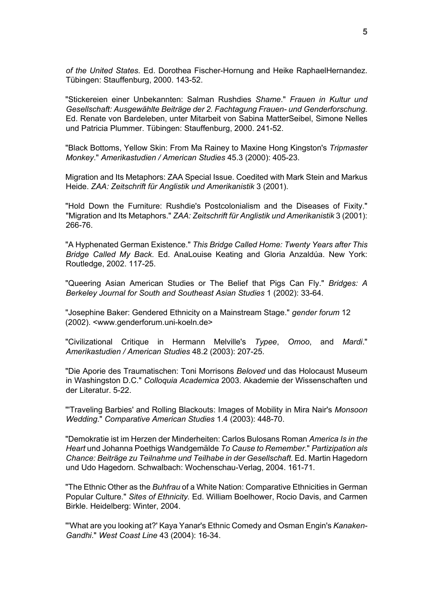*of the United States.* Ed. Dorothea Fischer-Hornung and Heike RaphaelHernandez. Tübingen: Stauffenburg, 2000. 143-52.

"Stickereien einer Unbekannten: Salman Rushdies *Shame*." *Frauen in Kultur und Gesellschaft: Ausgewählte Beiträge der 2. Fachtagung Frauen- und Genderforschung*. Ed. Renate von Bardeleben, unter Mitarbeit von Sabina MatterSeibel, Simone Nelles und Patricia Plummer. Tübingen: Stauffenburg, 2000. 241-52.

"Black Bottoms, Yellow Skin: From Ma Rainey to Maxine Hong Kingston's *Tripmaster Monkey*." *Amerikastudien / American Studies* 45.3 (2000): 405-23.

Migration and Its Metaphors: ZAA Special Issue. Coedited with Mark Stein and Markus Heide. *ZAA: Zeitschrift für Anglistik und Amerikanistik* 3 (2001).

"Hold Down the Furniture: Rushdie's Postcolonialism and the Diseases of Fixity." "Migration and Its Metaphors." *ZAA: Zeitschrift für Anglistik und Amerikanistik* 3 (2001): 266-76.

"A Hyphenated German Existence." *This Bridge Called Home: Twenty Years after This Bridge Called My Back*. Ed. AnaLouise Keating and Gloria Anzaldúa. New York: Routledge, 2002. 117-25.

"Queering Asian American Studies or The Belief that Pigs Can Fly." *Bridges: A Berkeley Journal for South and Southeast Asian Studies* 1 (2002): 33-64.

"Josephine Baker: Gendered Ethnicity on a Mainstream Stage." *gender forum* 12 (2002). <www.genderforum.uni-koeln.de>

"Civilizational Critique in Hermann Melville's *Typee*, *Omoo*, and *Mardi*." *Amerikastudien / American Studies* 48.2 (2003): 207-25.

"Die Aporie des Traumatischen: Toni Morrisons *Beloved* und das Holocaust Museum in Washingston D.C." *Colloquia Academica* 2003. Akademie der Wissenschaften und der Literatur. 5-22.

"'Traveling Barbies' and Rolling Blackouts: Images of Mobility in Mira Nair's *Monsoon Wedding*." *Comparative American Studies* 1.4 (2003): 448-70.

"Demokratie ist im Herzen der Minderheiten: Carlos Bulosans Roman *America Is in the Heart* und Johanna Poethigs Wandgemälde *To Cause to Remember*." *Partizipation als Chance: Beiträge zu Teilnahme und Teilhabe in der Gesellschaft*. Ed. Martin Hagedorn und Udo Hagedorn. Schwalbach: Wochenschau-Verlag, 2004. 161-71.

"The Ethnic Other as the *Buhfrau* of a White Nation: Comparative Ethnicities in German Popular Culture." *Sites of Ethnicity.* Ed. William Boelhower, Rocio Davis, and Carmen Birkle. Heidelberg: Winter, 2004.

"'What are you looking at?' Kaya Yanar's Ethnic Comedy and Osman Engin's *Kanaken-Gandhi*." *West Coast Line* 43 (2004): 16-34.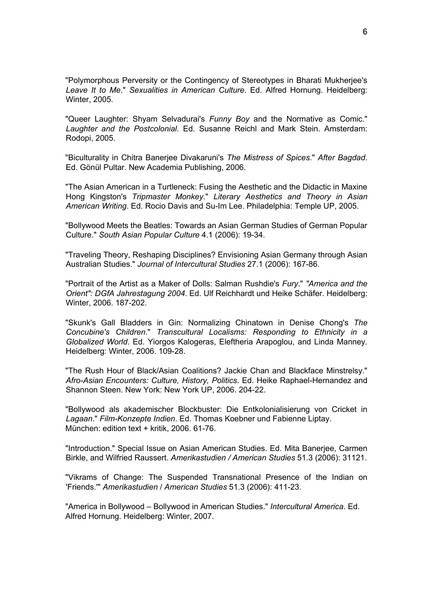"Polymorphous Perversity or the Contingency of Stereotypes in Bharati Mukherjee's *Leave It to Me*." *Sexualities in American Culture*. Ed. Alfred Hornung. Heidelberg: Winter, 2005.

"Queer Laughter: Shyam Selvadurai's *Funny Boy* and the Normative as Comic." *Laughter and the Postcolonial*. Ed. Susanne Reichl and Mark Stein. Amsterdam: Rodopi, 2005.

"Biculturality in Chitra Banerjee Divakaruni's *The Mistress of Spices*." *After Bagdad*. Ed. Gönül Pultar. New Academia Publishing, 2006.

"The Asian American in a Turtleneck: Fusing the Aesthetic and the Didactic in Maxine Hong Kingston's *Tripmaster Monkey*." *Literary Aesthetics and Theory in Asian American Writing*. Ed. Rocio Davis and Su-Im Lee. Philadelphia: Temple UP, 2005.

"Bollywood Meets the Beatles: Towards an Asian German Studies of German Popular Culture." *South Asian Popular Culture* 4.1 (2006): 19-34.

"Traveling Theory, Reshaping Disciplines? Envisioning Asian Germany through Asian Australian Studies." *Journal of Intercultural Studies* 27.1 (2006): 167-86.

"Portrait of the Artist as a Maker of Dolls: Salman Rushdie's *Fury*." *"America and the Orient": DGfA Jahrestagung 2004*. Ed. Ulf Reichhardt und Heike Schäfer. Heidelberg: Winter, 2006. 187-202.

"Skunk's Gall Bladders in Gin: Normalizing Chinatown in Denise Chong's *The Concubine's Children*." *Transcultural Localisms: Responding to Ethnicity in a Globalized World*. Ed. Yiorgos Kalogeras, Eleftheria Arapoglou, and Linda Manney. Heidelberg: Winter, 2006. 109-28.

"The Rush Hour of Black/Asian Coalitions? Jackie Chan and Blackface Minstrelsy." *Afro-Asian Encounters: Culture, History, Politics*. Ed. Heike Raphael-Hernandez and Shannon Steen. New York: New York UP, 2006. 204-22.

"Bollywood als akademischer Blockbuster: Die Entkolonialisierung von Cricket in *Lagaan*." *Film-Konzepte Indien*. Ed. Thomas Koebner und Fabienne Liptay. München: edition text + kritik, 2006. 61-76.

"Introduction." Special Issue on Asian American Studies. Ed. Mita Banerjee, Carmen Birkle, and Wilfried Raussert. *Amerikastudien / American Studies* 51.3 (2006): 31121.

"Vikrams of Change: The Suspended Transnational Presence of the Indian on 'Friends.'" *Amerikastudien* / *American Studies* 51.3 (2006): 411-23.

"America in Bollywood – Bollywood in American Studies." *Intercultural America*. Ed. Alfred Hornung. Heidelberg: Winter, 2007.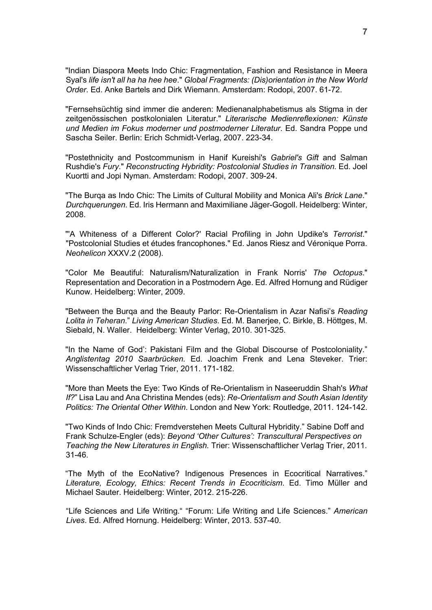"Indian Diaspora Meets Indo Chic: Fragmentation, Fashion and Resistance in Meera Syal's *life isn't all ha ha hee hee*." *Global Fragments: (Dis)orientation in the New World Order*. Ed. Anke Bartels and Dirk Wiemann. Amsterdam: Rodopi, 2007. 61-72.

"Fernsehsüchtig sind immer die anderen: Medienanalphabetismus als Stigma in der zeitgenössischen postkolonialen Literatur." *Literarische Medienreflexionen: Künste und Medien im Fokus moderner und postmoderner Literatur*. Ed. Sandra Poppe und Sascha Seiler. Berlin: Erich Schmidt-Verlag, 2007. 223-34.

"Postethnicity and Postcommunism in Hanif Kureishi's *Gabriel's Gift* and Salman Rushdie's *Fury*." *Reconstructing Hybridity: Postcolonial Studies in Transition*. Ed. Joel Kuortti and Jopi Nyman. Amsterdam: Rodopi, 2007. 309-24.

"The Burqa as Indo Chic: The Limits of Cultural Mobility and Monica Ali's *Brick Lane*." *Durchquerungen*. Ed. Iris Hermann and Maximiliane Jäger-Gogoll. Heidelberg: Winter, 2008.

"'A Whiteness of a Different Color?' Racial Profiling in John Updike's *Terrorist*." "Postcolonial Studies et études francophones." Ed. Janos Riesz and Véronique Porra. *Neohelicon* XXXV.2 (2008).

"Color Me Beautiful: Naturalism/Naturalization in Frank Norris' *The Octopus*." Representation and Decoration in a Postmodern Age. Ed. Alfred Hornung and Rüdiger Kunow. Heidelberg: Winter, 2009.

"Between the Burqa and the Beauty Parlor: Re-Orientalism in Azar Nafisi's *Reading Lolita in Teheran*." *Living American Studies*. Ed. M. Banerjee, C. Birkle, B. Höttges, M. Siebald, N. Waller. Heidelberg: Winter Verlag, 2010. 301-325.

"In the Name of God': Pakistani Film and the Global Discourse of Postcoloniality." *Anglistentag 2010 Saarbrücken.* Ed. Joachim Frenk and Lena Steveker. Trier: Wissenschaftlicher Verlag Trier, 2011. 171-182.

"More than Meets the Eye: Two Kinds of Re-Orientalism in Naseeruddin Shah's *What If?*" Lisa Lau and Ana Christina Mendes (eds): *Re-Orientalism and South Asian Identity Politics: The Oriental Other Within*. London and New York: Routledge, 2011. 124-142.

"Two Kinds of Indo Chic: Fremdverstehen Meets Cultural Hybridity." Sabine Doff and Frank Schulze-Engler (eds): *Beyond 'Other Cultures': Transcultural Perspectives on Teaching the New Literatures in English.* Trier: Wissenschaftlicher Verlag Trier, 2011. 31-46.

"The Myth of the EcoNative? Indigenous Presences in Ecocritical Narratives." *Literature, Ecology, Ethics: Recent Trends in Ecocriticism*. Ed. Timo Müller and Michael Sauter. Heidelberg: Winter, 2012. 215-226.

"Life Sciences and Life Writing." "Forum: Life Writing and Life Sciences." *American Lives*. Ed. Alfred Hornung. Heidelberg: Winter, 2013. 537-40.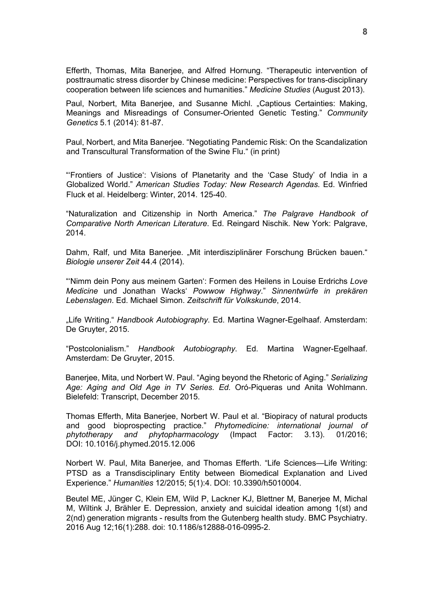Efferth, Thomas, Mita Banerjee, and Alfred Hornung. "Therapeutic intervention of posttraumatic stress disorder by Chinese medicine: Perspectives for trans-disciplinary cooperation between life sciences and humanities." *Medicine Studies* (August 2013).

Paul, Norbert, Mita Banerjee, and Susanne Michl. "Captious Certainties: Making, Meanings and Misreadings of Consumer-Oriented Genetic Testing." *Community Genetics* 5.1 (2014): 81-87.

Paul, Norbert, and Mita Banerjee. "Negotiating Pandemic Risk: On the Scandalization and Transcultural Transformation of the Swine Flu." (in print)

"'Frontiers of Justice': Visions of Planetarity and the 'Case Study' of India in a Globalized World." *American Studies Today: New Research Agendas*. Ed. Winfried Fluck et al. Heidelberg: Winter, 2014. 125-40.

"Naturalization and Citizenship in North America." *The Palgrave Handbook of Comparative North American Literature*. Ed. Reingard Nischik. New York: Palgrave, 2014.

Dahm, Ralf, und Mita Banerjee. "Mit interdisziplinärer Forschung Brücken bauen." *Biologie unserer Zeit* 44.4 (2014).

"'Nimm dein Pony aus meinem Garten': Formen des Heilens in Louise Erdrichs *Love Medicine* und Jonathan Wacks' *Powwow Highway*." *Sinnentwürfe in prekären Lebenslagen*. Ed. Michael Simon. *Zeitschrift für Volkskunde*, 2014.

"Life Writing." *Handbook Autobiography*. Ed. Martina Wagner-Egelhaaf. Amsterdam: De Gruyter, 2015.

"Postcolonialism." *Handbook Autobiography*. Ed. Martina Wagner-Egelhaaf. Amsterdam: De Gruyter, 2015.

Banerjee, Mita, und Norbert W. Paul. "Aging beyond the Rhetoric of Aging." *Serializing Age: Aging and Old Age in TV Series. Ed.* Oró-Piqueras und Anita Wohlmann. Bielefeld: Transcript, December 2015.

Thomas Efferth, Mita Banerjee, Norbert W. Paul et al. "Biopiracy of natural products and good bioprospecting practice." *Phytomedicine: international journal of phytotherapy and phytopharmacology* (Impact Factor: 3.13). 01/2016; DOI: 10.1016/j.phymed.2015.12.006

Norbert W. Paul, Mita Banerjee, and Thomas Efferth. "Life Sciences—Life Writing: PTSD as a Transdisciplinary Entity between Biomedical Explanation and Lived Experience." *Humanities* 12/2015; 5(1):4. DOI: 10.3390/h5010004.

Beutel ME, Jünger C, Klein EM, Wild P, Lackner KJ, Blettner M, Banerjee M, Michal M, Wiltink J, Brähler E. Depression, anxiety and suicidal ideation among 1(st) and 2(nd) generation migrants - results from the Gutenberg health study. BMC Psychiatry. 2016 Aug 12;16(1):288. doi: 10.1186/s12888-016-0995-2.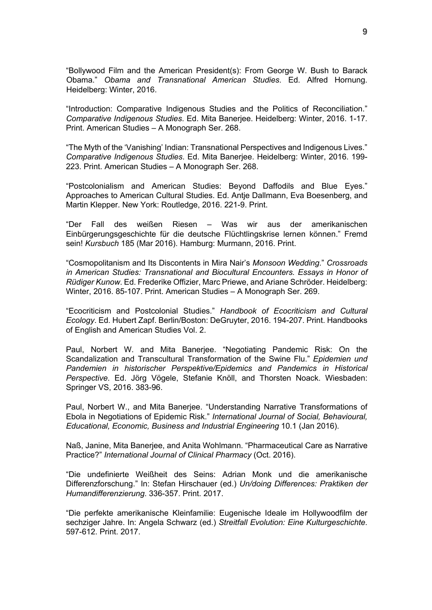"Bollywood Film and the American President(s): From George W. Bush to Barack Obama." *Obama and Transnational American Studies*. Ed. Alfred Hornung. Heidelberg: Winter, 2016.

"Introduction: Comparative Indigenous Studies and the Politics of Reconciliation." *Comparative Indigenous Studies*. Ed. Mita Banerjee. Heidelberg: Winter, 2016. 1-17. Print. American Studies - A Monograph Ser. 268.

"The Myth of the 'Vanishing' Indian: Transnational Perspectives and Indigenous Lives." *Comparative Indigenous Studies*. Ed. Mita Banerjee. Heidelberg: Winter, 2016. 199- 223. Print. American Studies - A Monograph Ser. 268.

"Postcolonialism and American Studies: Beyond Daffodils and Blue Eyes." Approaches to American Cultural Studies. Ed. Antje Dallmann, Eva Boesenberg, and Martin Klepper. New York: Routledge, 2016. 221-9. Print.

"Der Fall des weißen Riesen ‒ Was wir aus der amerikanischen Einbürgerungsgeschichte für die deutsche Flüchtlingskrise lernen können." Fremd sein! *Kursbuch* 185 (Mar 2016). Hamburg: Murmann, 2016. Print.

"Cosmopolitanism and Its Discontents in Mira Nair's *Monsoon Wedding*." *Crossroads in American Studies: Transnational and Biocultural Encounters. Essays in Honor of Rüdiger Kunow*. Ed. Frederike Offizier, Marc Priewe, and Ariane Schröder. Heidelberg: Winter, 2016. 85-107. Print. American Studies - A Monograph Ser. 269.

"Ecocriticism and Postcolonial Studies." *Handbook of Ecocriticism and Cultural Ecology*. Ed. Hubert Zapf. Berlin/Boston: DeGruyter, 2016. 194-207. Print. Handbooks of English and American Studies Vol. 2.

Paul, Norbert W. and Mita Banerjee. "Negotiating Pandemic Risk: On the Scandalization and Transcultural Transformation of the Swine Flu." *Epidemien und Pandemien in historischer Perspektive/Epidemics and Pandemics in Historical Perspective*. Ed. Jörg Vögele, Stefanie Knöll, and Thorsten Noack. Wiesbaden: Springer VS, 2016. 383-96.

Paul, Norbert W., and Mita Banerjee. "Understanding Narrative Transformations of Ebola in Negotiations of Epidemic Risk." *International Journal of Social, Behavioural, Educational, Economic, Business and Industrial Engineering* 10.1 (Jan 2016).

Naß, Janine, Mita Banerjee, and Anita Wohlmann. "Pharmaceutical Care as Narrative Practice?" *International Journal of Clinical Pharmacy* (Oct. 2016).

"Die undefinierte Weißheit des Seins: Adrian Monk und die amerikanische Differenzforschung." In: Stefan Hirschauer (ed.) *Un/doing Differences: Praktiken der Humandifferenzierung*. 336-357. Print. 2017.

"Die perfekte amerikanische Kleinfamilie: Eugenische Ideale im Hollywoodfilm der sechziger Jahre. In: Angela Schwarz (ed.) *Streitfall Evolution: Eine Kulturgeschichte*. 597-612. Print. 2017.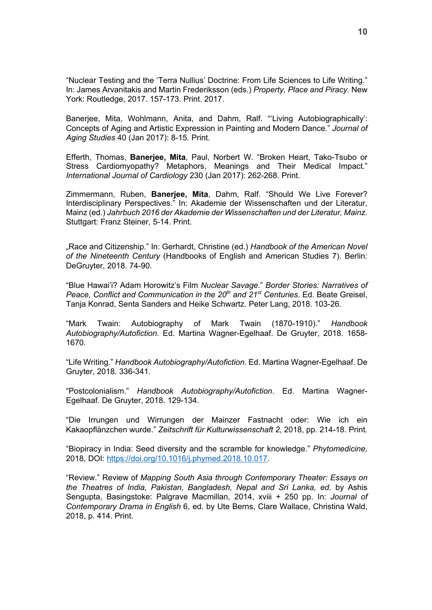"Nuclear Testing and the 'Terra Nullius' Doctrine: From Life Sciences to Life Writing." In: James Arvanitakis and Martin Frederiksson (eds.) *Property, Place and Piracy*. New York: Routledge, 2017. 157-173. Print. 2017.

Banerjee, Mita, Wohlmann, Anita, and Dahm, Ralf. "'Living Autobiographically': Concepts of Aging and Artistic Expression in Painting and Modern Dance." *Journal of Aging Studies* 40 (Jan 2017): 8-15. Print.

Efferth, Thomas, **Banerjee, Mita**, Paul, Norbert W. "Broken Heart, Tako-Tsubo or Stress Cardiomyopathy? Metaphors, Meanings and Their Medical Impact." *International Journal of Cardiology* 230 (Jan 2017): 262-268. Print.

Zimmermann, Ruben, **Banerjee, Mita**, Dahm, Ralf. "Should We Live Forever? Interdisciplinary Perspectives." In: Akademie der Wissenschaften und der Literatur, Mainz (ed.) *Jahrbuch 2016 der Akademie der Wissenschaften und der Literatur, Mainz*. Stuttgart: Franz Steiner, 5-14. Print.

"Race and Citizenship." In: Gerhardt, Christine (ed.) Handbook of the American Novel *of the Nineteenth Century* (Handbooks of English and American Studies 7). Berlin: DeGruyter, 2018. 74-90.

"Blue Hawai'i? Adam Horowitz's Film *Nuclear Savage*." *Border Stories: Narratives of Peace, Conflict and Communication in the 20th and 21st Centuries*. Ed. Beate Greisel, Tanja Konrad, Senta Sanders and Heike Schwartz. Peter Lang, 2018. 103-26.

"Mark Twain: Autobiography of Mark Twain (1870-1910)." *Handbook Autobiography/Autofiction*. Ed. Martina Wagner-Egelhaaf. De Gruyter, 2018. 1658- 1670.

"Life Writing." *Handbook Autobiography/Autofiction*. Ed. Martina Wagner-Egelhaaf. De Gruyter, 2018. 336-341.

"Postcolonialism." *Handbook Autobiography/Autofiction*. Ed. Martina Wagner-Egelhaaf. De Gruyter, 2018. 129-134.

"Die Irrungen und Wirrungen der Mainzer Fastnacht oder: Wie ich ein Kakaopflänzchen wurde." *Zeitschrift für Kulturwissenschaft 2*, 2018, pp. 214-18. Print.

"Biopiracy in India: Seed diversity and the scramble for knowledge." *Phytomedicine,*  2018, DOI: https://doi.org/10.1016/j.phymed.2018.10.017.

"Review." Review of *Mapping South Asia through Contemporary Theater: Essays on the Theatres of India, Pakistan, Bangladesh, Nepal and Sri Lanka, ed.* by Ashis Sengupta, Basingstoke: Palgrave Macmillan, 2014, xviii + 250 pp. In: *Journal of Contemporary Drama in English* 6, ed. by Ute Berns, Clare Wallace, Christina Wald, 2018, p. 414. Print.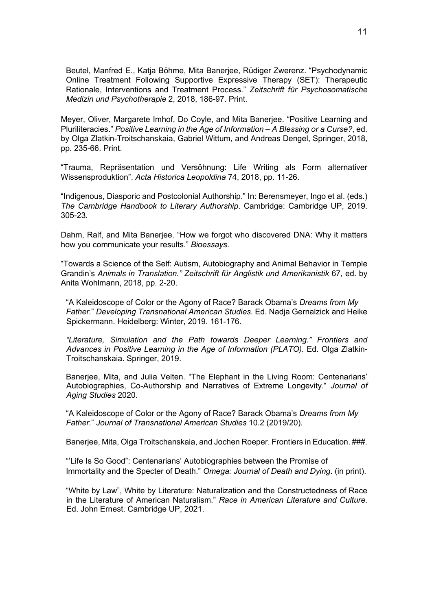Beutel, Manfred E., Katja Böhme, Mita Banerjee, Rüdiger Zwerenz. "Psychodynamic Online Treatment Following Supportive Expressive Therapy (SET): Therapeutic Rationale, Interventions and Treatment Process." *Zeitschrift für Psychosomatische Medizin und Psychotherapie* 2, 2018, 186-97. Print.

Meyer, Oliver, Margarete Imhof, Do Coyle, and Mita Banerjee. "Positive Learning and Pluriliteracies." *Positive Learning in the Age of Information – A Blessing or a Curse?*, ed. by Olga Zlatkin-Troitschanskaia, Gabriel Wittum, and Andreas Dengel, Springer, 2018, pp. 235-66. Print.

"Trauma, Repräsentation und Versöhnung: Life Writing als Form alternativer Wissensproduktion". *Acta Historica Leopoldina* 74, 2018, pp. 11-26.

"Indigenous, Diasporic and Postcolonial Authorship." In: Berensmeyer, Ingo et al. (eds.) *The Cambridge Handbook to Literary Authorship*. Cambridge: Cambridge UP, 2019. 305-23.

Dahm, Ralf, and Mita Banerjee. "How we forgot who discovered DNA: Why it matters how you communicate your results." *Bioessays*.

"Towards a Science of the Self: Autism, Autobiography and Animal Behavior in Temple Grandin's *Animals in Translation." Zeitschrift für Anglistik und Amerikanistik* 67*,* ed. by Anita Wohlmann, 2018, pp. 2-20.

"A Kaleidoscope of Color or the Agony of Race? Barack Obama's *Dreams from My Father.*" *Developing Transnational American Studies*. Ed. Nadja Gernalzick and Heike Spickermann. Heidelberg: Winter, 2019. 161-176.

*"Literature, Simulation and the Path towards Deeper Learning." Frontiers and Advances in Positive Learning in the Age of Information (PLATO).* Ed. Olga Zlatkin-Troitschanskaia. Springer, 2019.

Banerjee, Mita, and Julia Velten. "The Elephant in the Living Room: Centenarians' Autobiographies, Co-Authorship and Narratives of Extreme Longevity." *Journal of Aging Studies* 2020.

"A Kaleidoscope of Color or the Agony of Race? Barack Obama's *Dreams from My Father.*" *Journal of Transnational American Studies* 10.2 (2019/20).

Banerjee, Mita, Olga Troitschanskaia, and Jochen Roeper. Frontiers in Education. ###.

"'Life Is So Good": Centenarians' Autobiographies between the Promise of Immortality and the Specter of Death." *Omega: Journal of Death and Dying*. (in print).

"White by Law", White by Literature: Naturalization and the Constructedness of Race in the Literature of American Naturalism." *Race in American Literature and Culture*. Ed. John Ernest. Cambridge UP, 2021.